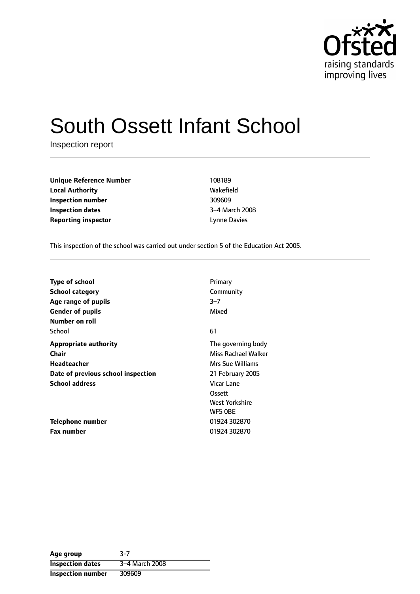

# South Ossett Infant School

Inspection report

| <b>Unique Reference Number</b> | 108189              |
|--------------------------------|---------------------|
| <b>Local Authority</b>         | Wakefield           |
| Inspection number              | 309609              |
| <b>Inspection dates</b>        | 3-4 March 20        |
| <b>Reporting inspector</b>     | <b>Lynne Davies</b> |

**Local Authority** Wakefield **3-4 March 2008** 

This inspection of the school was carried out under section 5 of the Education Act 2005.

| <b>Type of school</b>              | Primary             |
|------------------------------------|---------------------|
| <b>School category</b>             | Community           |
| Age range of pupils                | $3 - 7$             |
| <b>Gender of pupils</b>            | Mixed               |
| Number on roll                     |                     |
| School                             | 61                  |
| <b>Appropriate authority</b>       | The governing body  |
| <b>Chair</b>                       | Miss Rachael Walker |
| Headteacher                        | Mrs Sue Williams    |
| Date of previous school inspection | 21 February 2005    |
| <b>School address</b>              | Vicar Lane          |
|                                    | Ossett              |
|                                    | West Yorkshire      |
|                                    | WF5 OBE             |
| Telephone number                   | 01924 302870        |
| <b>Fax number</b>                  | 01924 302870        |

| Age group                | $3-7$          |
|--------------------------|----------------|
| <b>Inspection dates</b>  | 3-4 March 2008 |
| <b>Inspection number</b> | 309609         |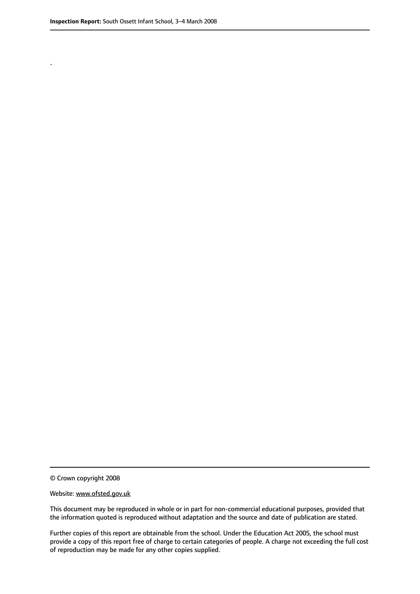.

© Crown copyright 2008

#### Website: www.ofsted.gov.uk

This document may be reproduced in whole or in part for non-commercial educational purposes, provided that the information quoted is reproduced without adaptation and the source and date of publication are stated.

Further copies of this report are obtainable from the school. Under the Education Act 2005, the school must provide a copy of this report free of charge to certain categories of people. A charge not exceeding the full cost of reproduction may be made for any other copies supplied.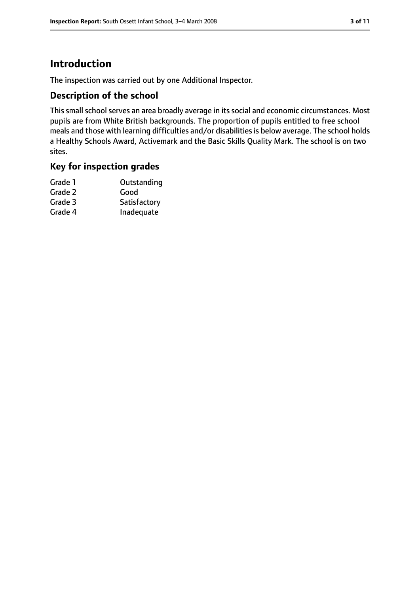### **Introduction**

The inspection was carried out by one Additional Inspector.

#### **Description of the school**

This small school serves an area broadly average in its social and economic circumstances. Most pupils are from White British backgrounds. The proportion of pupils entitled to free school meals and those with learning difficulties and/or disabilities is below average. The school holds a Healthy Schools Award, Activemark and the Basic Skills Quality Mark. The school is on two sites.

#### **Key for inspection grades**

| Grade 1 | Outstanding  |
|---------|--------------|
| Grade 2 | Good         |
| Grade 3 | Satisfactory |
| Grade 4 | Inadequate   |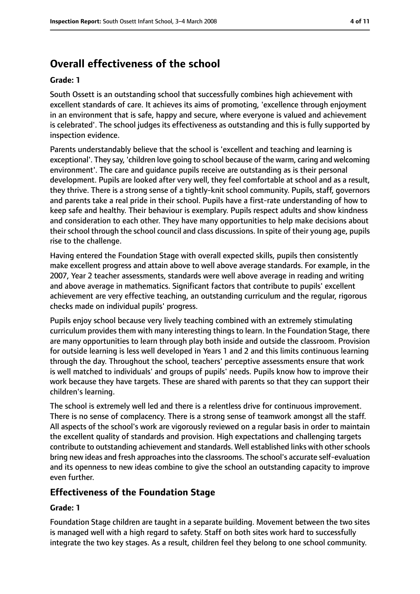### **Overall effectiveness of the school**

#### **Grade: 1**

South Ossett is an outstanding school that successfully combines high achievement with excellent standards of care. It achieves its aims of promoting, 'excellence through enjoyment in an environment that is safe, happy and secure, where everyone is valued and achievement is celebrated'. The school judges its effectiveness as outstanding and this is fully supported by inspection evidence.

Parents understandably believe that the school is 'excellent and teaching and learning is exceptional'. They say, 'children love going to school because of the warm, caring and welcoming environment'. The care and guidance pupils receive are outstanding as is their personal development. Pupils are looked after very well, they feel comfortable at school and as a result, they thrive. There is a strong sense of a tightly-knit school community. Pupils, staff, governors and parents take a real pride in their school. Pupils have a first-rate understanding of how to keep safe and healthy. Their behaviour is exemplary. Pupils respect adults and show kindness and consideration to each other. They have many opportunities to help make decisions about their school through the school council and class discussions. In spite of their young age, pupils rise to the challenge.

Having entered the Foundation Stage with overall expected skills, pupils then consistently make excellent progress and attain above to well above average standards. For example, in the 2007, Year 2 teacher assessments, standards were well above average in reading and writing and above average in mathematics. Significant factors that contribute to pupils' excellent achievement are very effective teaching, an outstanding curriculum and the regular, rigorous checks made on individual pupils' progress.

Pupils enjoy school because very lively teaching combined with an extremely stimulating curriculum provides them with many interesting things to learn. In the Foundation Stage, there are many opportunities to learn through play both inside and outside the classroom. Provision for outside learning is less well developed in Years 1 and 2 and this limits continuous learning through the day. Throughout the school, teachers' perceptive assessments ensure that work is well matched to individuals' and groups of pupils' needs. Pupils know how to improve their work because they have targets. These are shared with parents so that they can support their children's learning.

The school is extremely well led and there is a relentless drive for continuous improvement. There is no sense of complacency. There is a strong sense of teamwork amongst all the staff. All aspects of the school's work are vigorously reviewed on a regular basis in order to maintain the excellent quality of standards and provision. High expectations and challenging targets contribute to outstanding achievement and standards. Well established links with other schools bring new ideas and fresh approachesinto the classrooms. The school's accurate self-evaluation and its openness to new ideas combine to give the school an outstanding capacity to improve even further.

#### **Effectiveness of the Foundation Stage**

#### **Grade: 1**

Foundation Stage children are taught in a separate building. Movement between the two sites is managed well with a high regard to safety. Staff on both sites work hard to successfully integrate the two key stages. As a result, children feel they belong to one school community.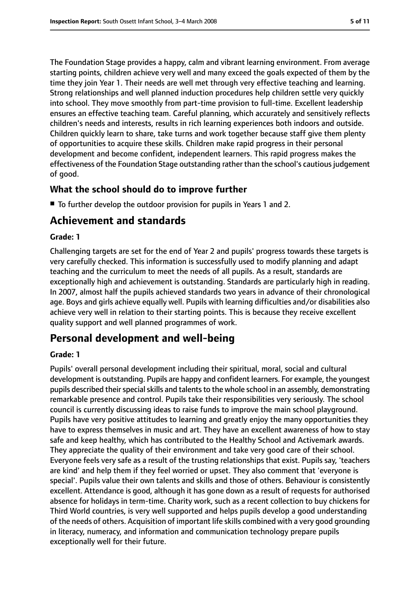The Foundation Stage provides a happy, calm and vibrant learning environment. From average starting points, children achieve very well and many exceed the goals expected of them by the time they join Year 1. Their needs are well met through very effective teaching and learning. Strong relationships and well planned induction procedures help children settle very quickly into school. They move smoothly from part-time provision to full-time. Excellent leadership ensures an effective teaching team. Careful planning, which accurately and sensitively reflects children's needs and interests, results in rich learning experiences both indoors and outside. Children quickly learn to share, take turns and work together because staff give them plenty of opportunities to acquire these skills. Children make rapid progress in their personal development and become confident, independent learners. This rapid progress makes the effectiveness of the Foundation Stage outstanding rather than the school's cautious judgement of good.

#### **What the school should do to improve further**

■ To further develop the outdoor provision for pupils in Years 1 and 2.

### **Achievement and standards**

#### **Grade: 1**

Challenging targets are set for the end of Year 2 and pupils' progress towards these targets is very carefully checked. This information is successfully used to modify planning and adapt teaching and the curriculum to meet the needs of all pupils. As a result, standards are exceptionally high and achievement is outstanding. Standards are particularly high in reading. In 2007, almost half the pupils achieved standards two years in advance of their chronological age. Boys and girls achieve equally well. Pupils with learning difficulties and/or disabilities also achieve very well in relation to their starting points. This is because they receive excellent quality support and well planned programmes of work.

### **Personal development and well-being**

#### **Grade: 1**

Pupils' overall personal development including their spiritual, moral, social and cultural development is outstanding. Pupils are happy and confident learners. For example, the youngest pupils described their special skills and talents to the whole school in an assembly, demonstrating remarkable presence and control. Pupils take their responsibilities very seriously. The school council is currently discussing ideas to raise funds to improve the main school playground. Pupils have very positive attitudes to learning and greatly enjoy the many opportunities they have to express themselves in music and art. They have an excellent awareness of how to stay safe and keep healthy, which has contributed to the Healthy School and Activemark awards. They appreciate the quality of their environment and take very good care of their school. Everyone feels very safe as a result of the trusting relationships that exist. Pupils say, 'teachers are kind' and help them if they feel worried or upset. They also comment that 'everyone is special'. Pupils value their own talents and skills and those of others. Behaviour is consistently excellent. Attendance is good, although it has gone down as a result of requests for authorised absence for holidays in term-time. Charity work, such as a recent collection to buy chickens for Third World countries, is very well supported and helps pupils develop a good understanding of the needs of others. Acquisition of important life skills combined with a very good grounding in literacy, numeracy, and information and communication technology prepare pupils exceptionally well for their future.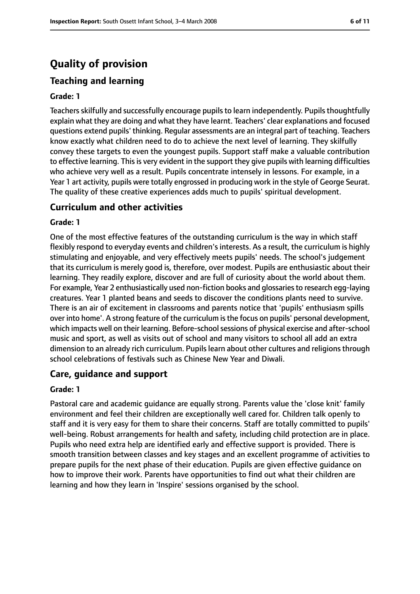### **Quality of provision**

### **Teaching and learning**

#### **Grade: 1**

Teachers skilfully and successfully encourage pupils to learn independently. Pupils thoughtfully explain what they are doing and what they have learnt. Teachers' clear explanations and focused questions extend pupils' thinking. Regular assessments are an integral part of teaching. Teachers know exactly what children need to do to achieve the next level of learning. They skilfully convey these targets to even the youngest pupils. Support staff make a valuable contribution to effective learning. This is very evident in the support they give pupils with learning difficulties who achieve very well as a result. Pupils concentrate intensely in lessons. For example, in a Year 1 art activity, pupils were totally engrossed in producing work in the style of George Seurat. The quality of these creative experiences adds much to pupils' spiritual development.

#### **Curriculum and other activities**

#### **Grade: 1**

One of the most effective features of the outstanding curriculum is the way in which staff flexibly respond to everyday events and children'sinterests. As a result, the curriculum is highly stimulating and enjoyable, and very effectively meets pupils' needs. The school's judgement that its curriculum is merely good is, therefore, over modest. Pupils are enthusiastic about their learning. They readily explore, discover and are full of curiosity about the world about them. For example, Year 2 enthusiastically used non-fiction books and glossaries to research egg-laying creatures. Year 1 planted beans and seeds to discover the conditions plants need to survive. There is an air of excitement in classrooms and parents notice that 'pupils' enthusiasm spills over into home'. A strong feature of the curriculum is the focus on pupils' personal development, which impacts well on their learning. Before-school sessions of physical exercise and after-school music and sport, as well as visits out of school and many visitors to school all add an extra dimension to an already rich curriculum. Pupils learn about other cultures and religions through school celebrations of festivals such as Chinese New Year and Diwali.

#### **Care, guidance and support**

#### **Grade: 1**

Pastoral care and academic guidance are equally strong. Parents value the 'close knit' family environment and feel their children are exceptionally well cared for. Children talk openly to staff and it is very easy for them to share their concerns. Staff are totally committed to pupils' well-being. Robust arrangements for health and safety, including child protection are in place. Pupils who need extra help are identified early and effective support is provided. There is smooth transition between classes and key stages and an excellent programme of activities to prepare pupils for the next phase of their education. Pupils are given effective guidance on how to improve their work. Parents have opportunities to find out what their children are learning and how they learn in 'Inspire' sessions organised by the school.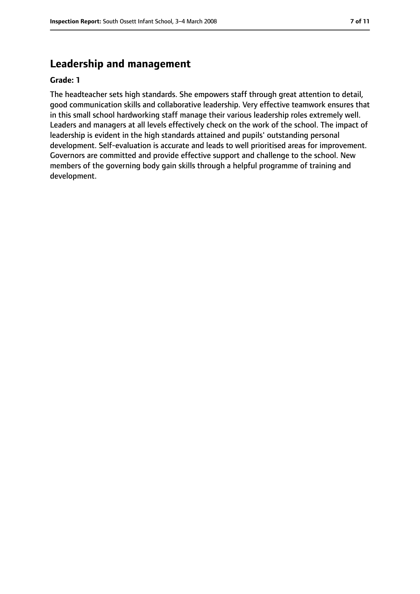#### **Leadership and management**

#### **Grade: 1**

The headteacher sets high standards. She empowers staff through great attention to detail, good communication skills and collaborative leadership. Very effective teamwork ensures that in this small school hardworking staff manage their various leadership roles extremely well. Leaders and managers at all levels effectively check on the work of the school. The impact of leadership is evident in the high standards attained and pupils' outstanding personal development. Self-evaluation is accurate and leads to well prioritised areas for improvement. Governors are committed and provide effective support and challenge to the school. New members of the governing body gain skills through a helpful programme of training and development.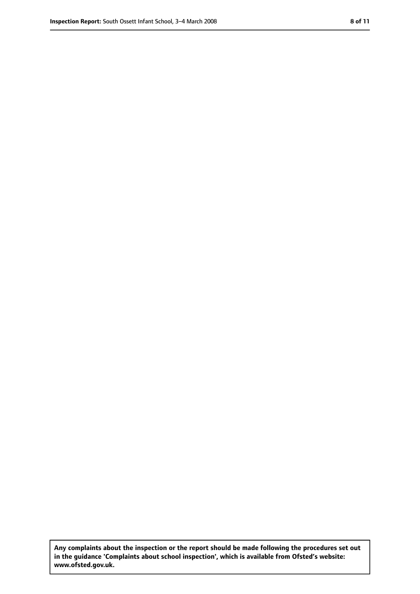**Any complaints about the inspection or the report should be made following the procedures set out in the guidance 'Complaints about school inspection', which is available from Ofsted's website: www.ofsted.gov.uk.**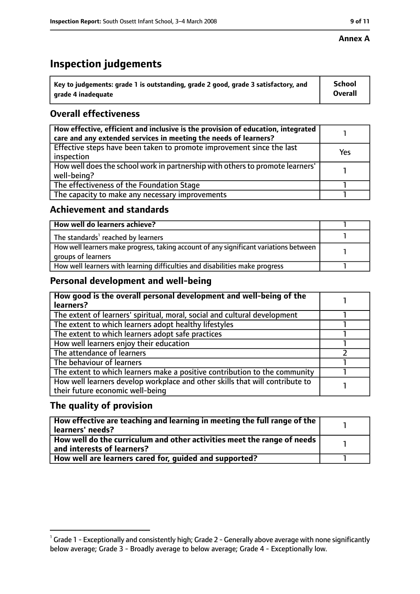#### **Annex A**

### **Inspection judgements**

| $^{\backprime}$ Key to judgements: grade 1 is outstanding, grade 2 good, grade 3 satisfactory, and | School         |
|----------------------------------------------------------------------------------------------------|----------------|
| arade 4 inadeguate                                                                                 | <b>Overall</b> |

### **Overall effectiveness**

| How effective, efficient and inclusive is the provision of education, integrated<br>care and any extended services in meeting the needs of learners? |     |
|------------------------------------------------------------------------------------------------------------------------------------------------------|-----|
| Effective steps have been taken to promote improvement since the last<br>inspection                                                                  | Yes |
| How well does the school work in partnership with others to promote learners'<br>well-being?                                                         |     |
| The effectiveness of the Foundation Stage                                                                                                            |     |
| The capacity to make any necessary improvements                                                                                                      |     |

#### **Achievement and standards**

| How well do learners achieve?                                                                               |  |
|-------------------------------------------------------------------------------------------------------------|--|
| The standards <sup>1</sup> reached by learners                                                              |  |
| How well learners make progress, taking account of any significant variations between<br>groups of learners |  |
| How well learners with learning difficulties and disabilities make progress                                 |  |

#### **Personal development and well-being**

| How good is the overall personal development and well-being of the<br>learners?                                  |  |
|------------------------------------------------------------------------------------------------------------------|--|
| The extent of learners' spiritual, moral, social and cultural development                                        |  |
| The extent to which learners adopt healthy lifestyles                                                            |  |
| The extent to which learners adopt safe practices                                                                |  |
| How well learners enjoy their education                                                                          |  |
| The attendance of learners                                                                                       |  |
| The behaviour of learners                                                                                        |  |
| The extent to which learners make a positive contribution to the community                                       |  |
| How well learners develop workplace and other skills that will contribute to<br>their future economic well-being |  |

#### **The quality of provision**

| How effective are teaching and learning in meeting the full range of the<br>learners' needs?          |  |
|-------------------------------------------------------------------------------------------------------|--|
| How well do the curriculum and other activities meet the range of needs<br>and interests of learners? |  |
| How well are learners cared for, quided and supported?                                                |  |

 $^1$  Grade 1 - Exceptionally and consistently high; Grade 2 - Generally above average with none significantly below average; Grade 3 - Broadly average to below average; Grade 4 - Exceptionally low.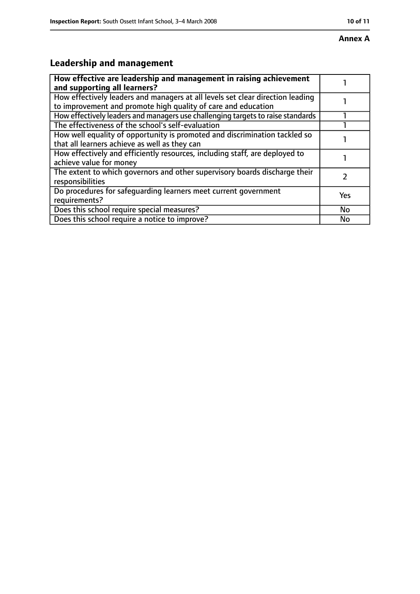## **Annex A**

### **Leadership and management**

| How effective are leadership and management in raising achievement<br>and supporting all learners?                                              |           |
|-------------------------------------------------------------------------------------------------------------------------------------------------|-----------|
| How effectively leaders and managers at all levels set clear direction leading<br>to improvement and promote high quality of care and education |           |
| How effectively leaders and managers use challenging targets to raise standards                                                                 |           |
| The effectiveness of the school's self-evaluation                                                                                               |           |
| How well equality of opportunity is promoted and discrimination tackled so<br>that all learners achieve as well as they can                     |           |
| How effectively and efficiently resources, including staff, are deployed to<br>achieve value for money                                          |           |
| The extent to which governors and other supervisory boards discharge their<br>responsibilities                                                  |           |
| Do procedures for safequarding learners meet current government<br>requirements?                                                                | Yes       |
| Does this school require special measures?                                                                                                      | <b>No</b> |
| Does this school require a notice to improve?                                                                                                   | No        |